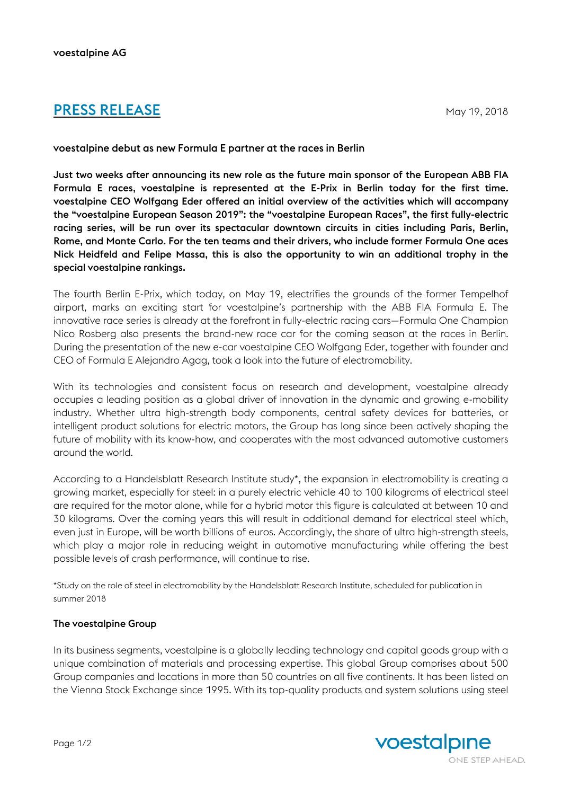## **PRESS RELEASE** May 19, 2018

## voestalpine debut as new Formula E partner at the races in Berlin

Just two weeks after announcing its new role as the future main sponsor of the European ABB FIA Formula E races, voestalpine is represented at the E-Prix in Berlin today for the first time. voestalpine CEO Wolfgang Eder offered an initial overview of the activities which will accompany the "voestalpine European Season 2019": the "voestalpine European Races", the first fully-electric racing series, will be run over its spectacular downtown circuits in cities including Paris, Berlin, Rome, and Monte Carlo. For the ten teams and their drivers, who include former Formula One aces Nick Heidfeld and Felipe Massa, this is also the opportunity to win an additional trophy in the special voestalpine rankings.

The fourth Berlin E-Prix, which today, on May 19, electrifies the grounds of the former Tempelhof airport, marks an exciting start for voestalpine's partnership with the ABB FIA Formula E. The innovative race series is already at the forefront in fully-electric racing cars—Formula One Champion Nico Rosberg also presents the brand-new race car for the coming season at the races in Berlin. During the presentation of the new e-car voestalpine CEO Wolfgang Eder, together with founder and CEO of Formula E Alejandro Agag, took a look into the future of electromobility.

With its technologies and consistent focus on research and development, voestalpine already occupies a leading position as a global driver of innovation in the dynamic and growing e-mobility industry. Whether ultra high-strength body components, central safety devices for batteries, or intelligent product solutions for electric motors, the Group has long since been actively shaping the future of mobility with its know-how, and cooperates with the most advanced automotive customers around the world.

According to a Handelsblatt Research Institute study\*, the expansion in electromobility is creating a growing market, especially for steel: in a purely electric vehicle 40 to 100 kilograms of electrical steel are required for the motor alone, while for a hybrid motor this figure is calculated at between 10 and 30 kilograms. Over the coming years this will result in additional demand for electrical steel which, even just in Europe, will be worth billions of euros. Accordingly, the share of ultra high-strength steels, which play a major role in reducing weight in automotive manufacturing while offering the best possible levels of crash performance, will continue to rise.

\*Study on the role of steel in electromobility by the Handelsblatt Research Institute, scheduled for publication in summer 2018

## The voestalpine Group

In its business segments, voestalpine is a globally leading technology and capital goods group with a unique combination of materials and processing expertise. This global Group comprises about 500 Group companies and locations in more than 50 countries on all five continents. It has been listed on the Vienna Stock Exchange since 1995. With its top-quality products and system solutions using steel